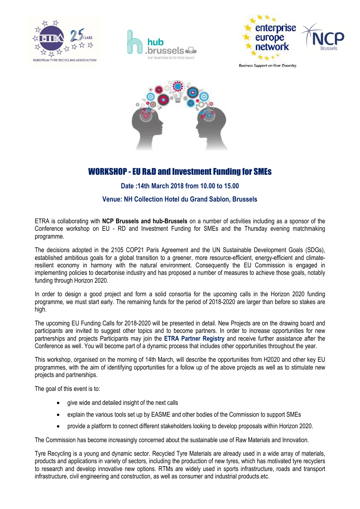





**Business Support on Your Doorstep** 



# WORKSHOP - EU R&D and Investment Funding for SMEs

## Date :14th March 2018 from 10.00 to 15.00

## Venue: NH Collection Hotel du Grand Sablon, Brussels

ETRA is collaborating with NCP Brussels and hub-Brussels on a number of activities including as a sponsor of the Conference workshop on EU - RD and Investment Funding for SMEs and the Thursday evening matchmaking programme.

The decisions adopted in the 2105 COP21 Paris Agreement and the UN Sustainable Development Goals (SDGs), established ambitious goals for a global transition to a greener, more resource-efficient, energy-efficient and climateresilient economy in harmony with the natural environment. Consequently the EU Commission is engaged in implementing policies to decarbonise industry and has proposed a number of measures to achieve those goals, notably funding through Horizon 2020.

In order to design a good project and form a solid consortia for the upcoming calls in the Horizon 2020 funding programme, we must start early. The remaining funds for the period of 2018-2020 are larger than before so stakes are high.

The upcoming EU Funding Calls for 2018-2020 will be presented in detail. New Projects are on the drawing board and participants are invited to suggest other topics and to become partners. In order to increase opportunities for new partnerships and projects Participants may join the ETRA Partner Registry and receive further assistance after the Conference as well. You will become part of a dynamic process that includes other opportunities throughout the year.

This workshop, organised on the morning of 14th March, will describe the opportunities from H2020 and other key EU programmes, with the aim of identifying opportunities for a follow up of the above projects as well as to stimulate new projects and partnerships.

The goal of this event is to:

- give wide and detailed insight of the next calls
- explain the various tools set up by EASME and other bodies of the Commission to support SMEs
- provide a platform to connect different stakeholders looking to develop proposals within Horizon 2020.

The Commission has become increasingly concerned about the sustainable use of Raw Materials and Innovation.

Tyre Recycling is a young and dynamic sector. Recycled Tyre Materials are already used in a wide array of materials, products and applications in variety of sectors, including the production of new tyres, which has motivated tyre recyclers to research and develop innovative new options. RTMs are widely used in sports infrastructure, roads and transport infrastructure, civil engineering and construction, as well as consumer and industrial products.etc.